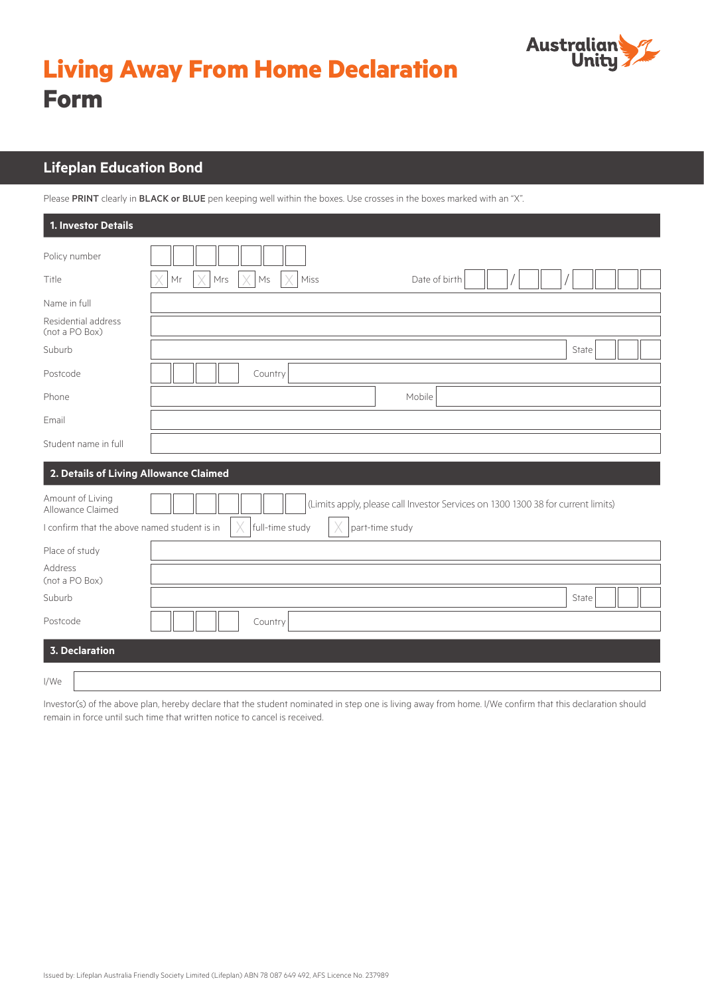

# **Living Away From Home Declaration Form**

### **Lifeplan Education Bond**

Please PRINT clearly in BLACK or BLUE pen keeping well within the boxes. Use crosses in the boxes marked with an "X".

| 1. Investor Details                          |                                                                                  |       |  |
|----------------------------------------------|----------------------------------------------------------------------------------|-------|--|
| Policy number                                |                                                                                  |       |  |
| Title                                        | Mrs<br>Date of birth<br>Mr<br>X<br>Ms<br>Miss                                    |       |  |
| Name in full                                 |                                                                                  |       |  |
| Residential address<br>(not a PO Box)        |                                                                                  |       |  |
| Suburb                                       |                                                                                  | State |  |
| Postcode                                     | Country                                                                          |       |  |
| Phone                                        | Mobile                                                                           |       |  |
| Email                                        |                                                                                  |       |  |
| Student name in full                         |                                                                                  |       |  |
| 2. Details of Living Allowance Claimed       |                                                                                  |       |  |
| Amount of Living<br>Allowance Claimed        | (Limits apply, please call Investor Services on 1300 1300 38 for current limits) |       |  |
| I confirm that the above named student is in | full-time study<br>part-time study                                               |       |  |
| Place of study                               |                                                                                  |       |  |
| Address<br>(not a PO Box)                    |                                                                                  |       |  |
| Suburb                                       |                                                                                  | State |  |
| Postcode                                     | Country                                                                          |       |  |
| <b>3. Declaration</b>                        |                                                                                  |       |  |
| I/We                                         |                                                                                  |       |  |

Investor(s) of the above plan, hereby declare that the student nominated in step one is living away from home. I/We confirm that this declaration should remain in force until such time that written notice to cancel is received.